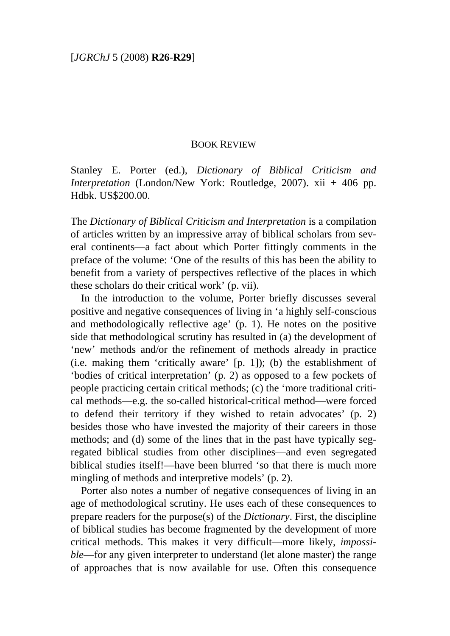## BOOK REVIEW

Stanley E. Porter (ed.), *Dictionary of Biblical Criticism and Interpretation* (London/New York: Routledge, 2007). xii **+** 406 pp. Hdbk. US\$200.00.

The *Dictionary of Biblical Criticism and Interpretation* is a compilation of articles written by an impressive array of biblical scholars from several continents—a fact about which Porter fittingly comments in the preface of the volume: 'One of the results of this has been the ability to benefit from a variety of perspectives reflective of the places in which these scholars do their critical work' (p. vii).

In the introduction to the volume, Porter briefly discusses several positive and negative consequences of living in 'a highly self-conscious and methodologically reflective age' (p. 1). He notes on the positive side that methodological scrutiny has resulted in (a) the development of 'new' methods and/or the refinement of methods already in practice (i.e. making them 'critically aware' [p. 1]); (b) the establishment of 'bodies of critical interpretation' (p. 2) as opposed to a few pockets of people practicing certain critical methods; (c) the 'more traditional critical methods—e.g. the so-called historical-critical method—were forced to defend their territory if they wished to retain advocates' (p. 2) besides those who have invested the majority of their careers in those methods; and (d) some of the lines that in the past have typically segregated biblical studies from other disciplines—and even segregated biblical studies itself!—have been blurred 'so that there is much more mingling of methods and interpretive models' (p. 2).

Porter also notes a number of negative consequences of living in an age of methodological scrutiny. He uses each of these consequences to prepare readers for the purpose(s) of the *Dictionary*. First, the discipline of biblical studies has become fragmented by the development of more critical methods. This makes it very difficult—more likely, *impossible*—for any given interpreter to understand (let alone master) the range of approaches that is now available for use. Often this consequence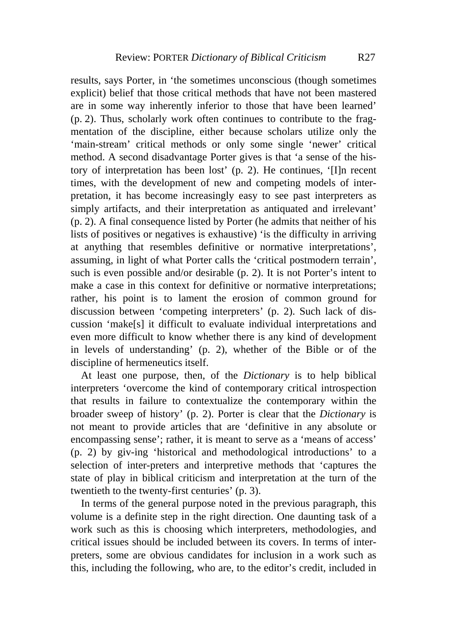results, says Porter, in 'the sometimes unconscious (though sometimes explicit) belief that those critical methods that have not been mastered are in some way inherently inferior to those that have been learned' (p. 2). Thus, scholarly work often continues to contribute to the fragmentation of the discipline, either because scholars utilize only the 'main-stream' critical methods or only some single 'newer' critical method. A second disadvantage Porter gives is that 'a sense of the history of interpretation has been lost' (p. 2). He continues, '[I]n recent times, with the development of new and competing models of interpretation, it has become increasingly easy to see past interpreters as simply artifacts, and their interpretation as antiquated and irrelevant' (p. 2). A final consequence listed by Porter (he admits that neither of his lists of positives or negatives is exhaustive) 'is the difficulty in arriving at anything that resembles definitive or normative interpretations', assuming, in light of what Porter calls the 'critical postmodern terrain', such is even possible and/or desirable (p. 2). It is not Porter's intent to make a case in this context for definitive or normative interpretations; rather, his point is to lament the erosion of common ground for discussion between 'competing interpreters' (p. 2). Such lack of discussion 'make[s] it difficult to evaluate individual interpretations and even more difficult to know whether there is any kind of development in levels of understanding' (p. 2), whether of the Bible or of the discipline of hermeneutics itself.

At least one purpose, then, of the *Dictionary* is to help biblical interpreters 'overcome the kind of contemporary critical introspection that results in failure to contextualize the contemporary within the broader sweep of history' (p. 2). Porter is clear that the *Dictionary* is not meant to provide articles that are 'definitive in any absolute or encompassing sense'; rather, it is meant to serve as a 'means of access' (p. 2) by giv-ing 'historical and methodological introductions' to a selection of inter-preters and interpretive methods that 'captures the state of play in biblical criticism and interpretation at the turn of the twentieth to the twenty-first centuries' (p. 3).

In terms of the general purpose noted in the previous paragraph, this volume is a definite step in the right direction. One daunting task of a work such as this is choosing which interpreters, methodologies, and critical issues should be included between its covers. In terms of interpreters, some are obvious candidates for inclusion in a work such as this, including the following, who are, to the editor's credit, included in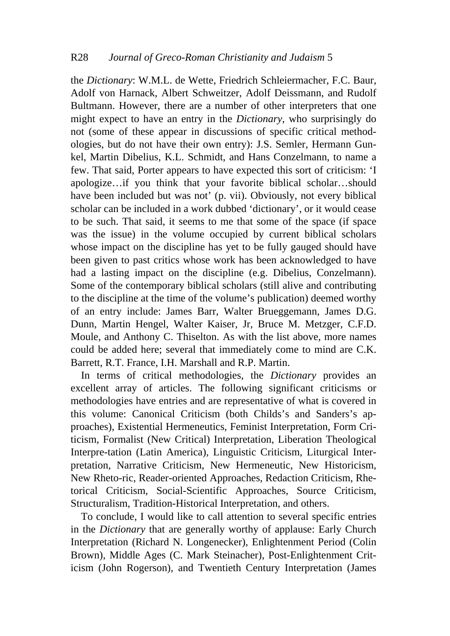the *Dictionary*: W.M.L. de Wette, Friedrich Schleiermacher, F.C. Baur, Adolf von Harnack, Albert Schweitzer, Adolf Deissmann, and Rudolf Bultmann. However, there are a number of other interpreters that one might expect to have an entry in the *Dictionary*, who surprisingly do not (some of these appear in discussions of specific critical methodologies, but do not have their own entry): J.S. Semler, Hermann Gunkel, Martin Dibelius, K.L. Schmidt, and Hans Conzelmann, to name a few. That said, Porter appears to have expected this sort of criticism: 'I apologize…if you think that your favorite biblical scholar…should have been included but was not' (p. vii). Obviously, not every biblical scholar can be included in a work dubbed 'dictionary', or it would cease to be such. That said, it seems to me that some of the space (if space was the issue) in the volume occupied by current biblical scholars whose impact on the discipline has yet to be fully gauged should have been given to past critics whose work has been acknowledged to have had a lasting impact on the discipline (e.g. Dibelius, Conzelmann). Some of the contemporary biblical scholars (still alive and contributing to the discipline at the time of the volume's publication) deemed worthy of an entry include: James Barr, Walter Brueggemann, James D.G. Dunn, Martin Hengel, Walter Kaiser, Jr, Bruce M. Metzger, C.F.D. Moule, and Anthony C. Thiselton. As with the list above, more names could be added here; several that immediately come to mind are C.K. Barrett, R.T. France, I.H. Marshall and R.P. Martin.

In terms of critical methodologies, the *Dictionary* provides an excellent array of articles. The following significant criticisms or methodologies have entries and are representative of what is covered in this volume: Canonical Criticism (both Childs's and Sanders's approaches), Existential Hermeneutics, Feminist Interpretation, Form Criticism, Formalist (New Critical) Interpretation, Liberation Theological Interpre-tation (Latin America), Linguistic Criticism, Liturgical Interpretation, Narrative Criticism, New Hermeneutic, New Historicism, New Rheto-ric, Reader-oriented Approaches, Redaction Criticism, Rhetorical Criticism, Social-Scientific Approaches, Source Criticism, Structuralism, Tradition-Historical Interpretation, and others.

To conclude, I would like to call attention to several specific entries in the *Dictionary* that are generally worthy of applause: Early Church Interpretation (Richard N. Longenecker), Enlightenment Period (Colin Brown), Middle Ages (C. Mark Steinacher), Post-Enlightenment Criticism (John Rogerson), and Twentieth Century Interpretation (James